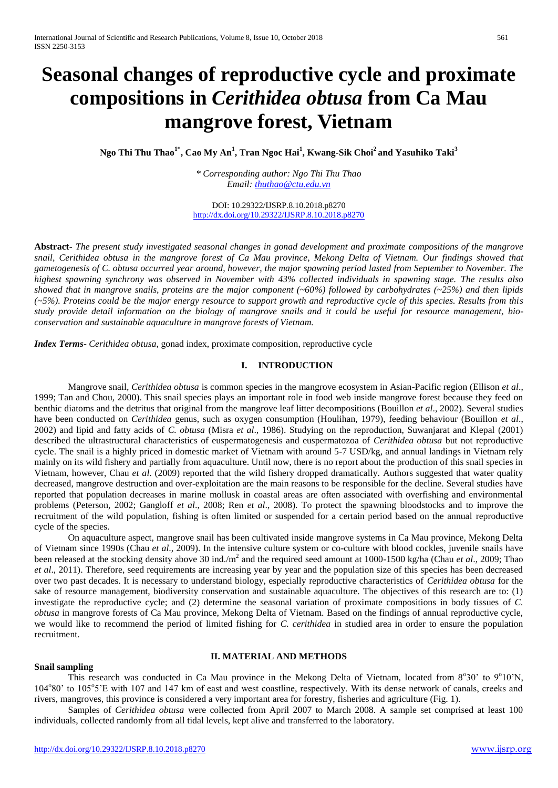# **Seasonal changes of reproductive cycle and proximate compositions in** *Cerithidea obtusa* **from Ca Mau mangrove forest, Vietnam**

**Ngo Thi Thu Thao1\*, Cao My An<sup>1</sup> , Tran Ngoc Hai<sup>1</sup> , Kwang-Sik Choi<sup>2</sup> and Yasuhiko Taki<sup>3</sup>**

*\* Corresponding author: Ngo Thi Thu Thao Email: [thuthao@ctu.edu.vn](mailto:thuthao@ctu.edu.vn)*

DOI: 10.29322/IJSRP.8.10.2018.p8270 <http://dx.doi.org/10.29322/IJSRP.8.10.2018.p8270>

**Abstract-** *The present study investigated seasonal changes in gonad development and proximate compositions of the mangrove snail, Cerithidea obtusa in the mangrove forest of Ca Mau province, Mekong Delta of Vietnam. Our findings showed that gametogenesis of C. obtusa occurred year around, however, the major spawning period lasted from September to November. The highest spawning synchrony was observed in November with 43% collected individuals in spawning stage. The results also showed that in mangrove snails, proteins are the major component (~60%) followed by carbohydrates (~25%) and then lipids (~5%). Proteins could be the major energy resource to support growth and reproductive cycle of this species. Results from this study provide detail information on the biology of mangrove snails and it could be useful for resource management, bioconservation and sustainable aquaculture in mangrove forests of Vietnam.*

*Index Terms*- *Cerithidea obtusa*, gonad index, proximate composition, reproductive cycle

# **I. INTRODUCTION**

Mangrove snail*, Cerithidea obtusa* is common species in the mangrove ecosystem in Asian-Pacific region (Ellison *et al*., 1999; Tan and Chou, 2000). This snail species plays an important role in food web inside mangrove forest because they feed on benthic diatoms and the detritus that original from the mangrove leaf litter decompositions (Bouillon *et al*., 2002). Several studies have been conducted on *Cerithidea* genus, such as oxygen consumption (Houlihan, 1979), feeding behaviour (Bouillon *et al*., 2002) and lipid and fatty acids of *C. obtusa* (Misra *et al*., 1986). Studying on the reproduction, Suwanjarat and Klepal (2001) described the ultrastructural characteristics of euspermatogenesis and euspermatozoa of *Cerithidea obtusa* but not reproductive cycle. The snail is a highly priced in domestic market of Vietnam with around 5-7 USD/kg, and annual landings in Vietnam rely mainly on its wild fishery and partially from aquaculture. Until now, there is no report about the production of this snail species in Vietnam, however, Chau *et al*. (2009) reported that the wild fishery dropped dramatically. Authors suggested that water quality decreased, mangrove destruction and over-exploitation are the main reasons to be responsible for the decline. Several studies have reported that population decreases in marine mollusk in coastal areas are often associated with overfishing and environmental problems (Peterson, 2002; Gangloff *et al*., 2008; Ren *et al*., 2008). To protect the spawning bloodstocks and to improve the recruitment of the wild population, fishing is often limited or suspended for a certain period based on the annual reproductive cycle of the species.

On aquaculture aspect, mangrove snail has been cultivated inside mangrove systems in Ca Mau province, Mekong Delta of Vietnam since 1990s (Chau *et al*., 2009). In the intensive culture system or co-culture with blood cockles, juvenile snails have been released at the stocking density above 30 ind./m<sup>2</sup> and the required seed amount at 1000-1500 kg/ha (Chau *et al.*, 2009; Thao *et al.*, 2011). Therefore, seed requirements are increasing year by year and the population size of this species has been decreased over two past decades. It is necessary to understand biology, especially reproductive characteristics of *Cerithidea obtusa* for the sake of resource management, biodiversity conservation and sustainable aquaculture. The objectives of this research are to: (1) investigate the reproductive cycle; and (2) determine the seasonal variation of proximate compositions in body tissues of *C. obtusa* in mangrove forests of Ca Mau province, Mekong Delta of Vietnam. Based on the findings of annual reproductive cycle, we would like to recommend the period of limited fishing for *C. cerithidea* in studied area in order to ensure the population recruitment.

# **II. MATERIAL AND METHODS**

# **Snail sampling**

This research was conducted in Ca Mau province in the Mekong Delta of Vietnam, located from 8°30' to 9°10'N, 104°80' to 105°5'E with 107 and 147 km of east and west coastline, respectively. With its dense network of canals, creeks and rivers, mangroves, this province is considered a very important area for forestry, fisheries and agriculture (Fig. 1).

Samples of *Cerithidea obtusa* were collected from April 2007 to March 2008. A sample set comprised at least 100 individuals, collected randomly from all tidal levels, kept alive and transferred to the laboratory.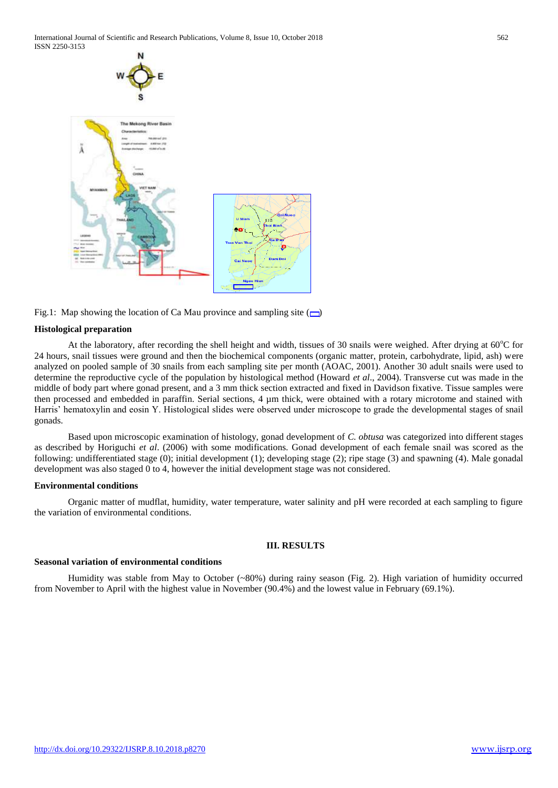International Journal of Scientific and Research Publications, Volume 8, Issue 10, October 2018 562 ISSN 2250-3153



Fig.1: Map showing the location of Ca Mau province and sampling site  $(\Box)$ 

#### **Histological preparation**

At the laboratory, after recording the shell height and width, tissues of 30 snails were weighed. After drying at  $60^{\circ}$ C for 24 hours, snail tissues were ground and then the biochemical components (organic matter, protein, carbohydrate, lipid, ash) were analyzed on pooled sample of 30 snails from each sampling site per month (AOAC, 2001). Another 30 adult snails were used to determine the reproductive cycle of the population by histological method (Howard *et al*., 2004). Transverse cut was made in the middle of body part where gonad present, and a 3 mm thick section extracted and fixed in Davidson fixative. Tissue samples were then processed and embedded in paraffin. Serial sections, 4 µm thick, were obtained with a rotary microtome and stained with Harris' hematoxylin and eosin Y. Histological slides were observed under microscope to grade the developmental stages of snail gonads.

Based upon microscopic examination of histology, gonad development of *C. obtusa* was categorized into different stages as described by Horiguchi *et al*. (2006) with some modifications. Gonad development of each female snail was scored as the following: undifferentiated stage (0); initial development (1); developing stage (2); ripe stage (3) and spawning (4). Male gonadal development was also staged 0 to 4, however the initial development stage was not considered.

## **Environmental conditions**

Organic matter of mudflat, humidity, water temperature, water salinity and pH were recorded at each sampling to figure the variation of environmental conditions.

#### **III. RESULTS**

#### **Seasonal variation of environmental conditions**

Humidity was stable from May to October (~80%) during rainy season (Fig. 2). High variation of humidity occurred from November to April with the highest value in November (90.4%) and the lowest value in February (69.1%).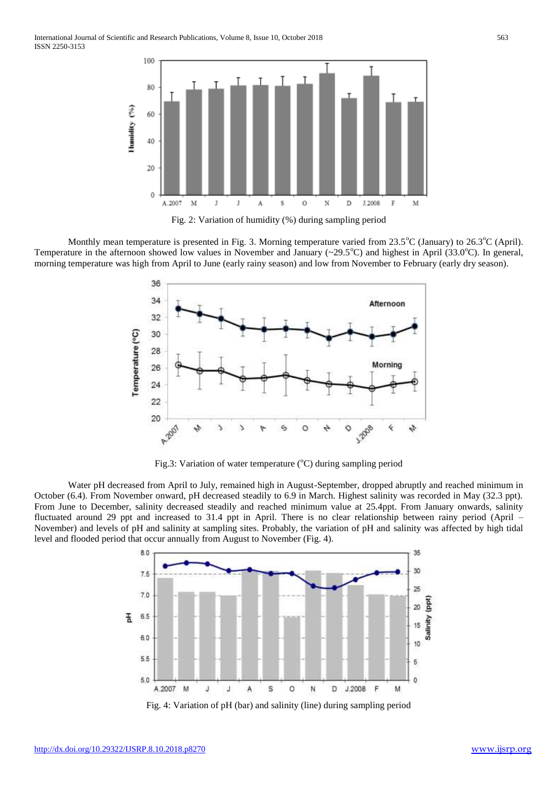

Monthly mean temperature is presented in Fig. 3. Morning temperature varied from  $23.5^{\circ}C$  (January) to  $26.3^{\circ}C$  (April). Temperature in the afternoon showed low values in November and January ( $\sim$ 29.5 $^{\circ}$ C) and highest in April (33.0 $^{\circ}$ C). In general, morning temperature was high from April to June (early rainy season) and low from November to February (early dry season).



Fig.3: Variation of water temperature  $({}^{\circ}C)$  during sampling period

Water pH decreased from April to July, remained high in August-September, dropped abruptly and reached minimum in October (6.4). From November onward, pH decreased steadily to 6.9 in March. Highest salinity was recorded in May (32.3 ppt). From June to December, salinity decreased steadily and reached minimum value at 25.4ppt. From January onwards, salinity fluctuated around 29 ppt and increased to 31.4 ppt in April. There is no clear relationship between rainy period (April – November) and levels of pH and salinity at sampling sites. Probably, the variation of pH and salinity was affected by high tidal level and flooded period that occur annually from August to November (Fig. 4).



Fig. 4: Variation of pH (bar) and salinity (line) during sampling period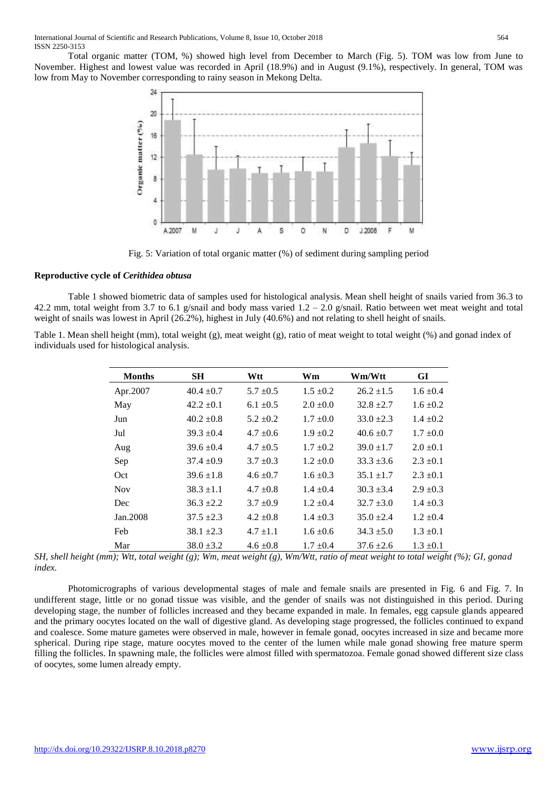Total organic matter (TOM, %) showed high level from December to March (Fig. 5). TOM was low from June to November. Highest and lowest value was recorded in April (18.9%) and in August (9.1%), respectively. In general, TOM was low from May to November corresponding to rainy season in Mekong Delta.



Fig. 5: Variation of total organic matter (%) of sediment during sampling period

## **Reproductive cycle of** *Cerithidea obtusa*

Table 1 showed biometric data of samples used for histological analysis. Mean shell height of snails varied from 36.3 to 42.2 mm, total weight from 3.7 to 6.1 g/snail and body mass varied  $1.2 - 2.0$  g/snail. Ratio between wet meat weight and total weight of snails was lowest in April (26.2%), highest in July (40.6%) and not relating to shell height of snails.

Table 1. Mean shell height (mm), total weight (g), meat weight (g), ratio of meat weight to total weight (%) and gonad index of individuals used for histological analysis.

| <b>Months</b> | <b>SH</b>      | Wtt           | Wm            | Wm/Wtt         | GI            |
|---------------|----------------|---------------|---------------|----------------|---------------|
| Apr.2007      | $40.4 \pm 0.7$ | $5.7 \pm 0.5$ | $1.5 \pm 0.2$ | $26.2 \pm 1.5$ | $1.6 \pm 0.4$ |
| May           | $42.2 \pm 0.1$ | $6.1 \pm 0.5$ | $2.0 \pm 0.0$ | $32.8 \pm 2.7$ | $1.6 \pm 0.2$ |
| Jun           | $40.2 \pm 0.8$ | $5.2 \pm 0.2$ | $1.7 \pm 0.0$ | $33.0 + 2.3$   | $1.4 \pm 0.2$ |
| Jul           | $39.3 \pm 0.4$ | $4.7 \pm 0.6$ | $1.9 \pm 0.2$ | $40.6 \pm 0.7$ | $1.7 \pm 0.0$ |
| Aug           | $39.6 \pm 0.4$ | $4.7 \pm 0.5$ | $1.7 \pm 0.2$ | $39.0 \pm 1.7$ | $2.0 \pm 0.1$ |
| Sep           | $37.4 \pm 0.9$ | $3.7 \pm 0.3$ | $1.2 \pm 0.0$ | $33.3 \pm 3.6$ | $2.3 \pm 0.1$ |
| Oct.          | $39.6 \pm 1.8$ | $4.6 \pm 0.7$ | $1.6 \pm 0.3$ | $35.1 \pm 1.7$ | $2.3 \pm 0.1$ |
| <b>Nov</b>    | $38.3 \pm 1.1$ | $4.7 \pm 0.8$ | $1.4 \pm 0.4$ | $30.3 + 3.4$   | $2.9 \pm 0.3$ |
| Dec           | $36.3 \pm 2.2$ | $3.7 \pm 0.9$ | $1.2 \pm 0.4$ | $32.7 + 3.0$   | $1.4 \pm 0.3$ |
| Jan. 2008     | $37.5 \pm 2.3$ | $4.2 \pm 0.8$ | $1.4 \pm 0.3$ | $35.0 \pm 2.4$ | $1.2 \pm 0.4$ |
| Feb           | $38.1 \pm 2.3$ | $4.7 \pm 1.1$ | $1.6 \pm 0.6$ | $34.3 \pm 5.0$ | $1.3 \pm 0.1$ |
| Mar           | $38.0 \pm 3.2$ | $4.6 \pm 0.8$ | $1.7 \pm 0.4$ | $37.6 + 2.6$   | $1.3 \pm 0.1$ |

*SH, shell height (mm); Wtt, total weight (g); Wm, meat weight (g), Wm/Wtt, ratio of meat weight to total weight (%); GI, gonad index.*

Photomicrographs of various developmental stages of male and female snails are presented in Fig. 6 and Fig. 7. In undifferent stage, little or no gonad tissue was visible, and the gender of snails was not distinguished in this period. During developing stage, the number of follicles increased and they became expanded in male. In females, egg capsule glands appeared and the primary oocytes located on the wall of digestive gland. As developing stage progressed, the follicles continued to expand and coalesce. Some mature gametes were observed in male, however in female gonad, oocytes increased in size and became more spherical. During ripe stage, mature oocytes moved to the center of the lumen while male gonad showing free mature sperm filling the follicles. In spawning male, the follicles were almost filled with spermatozoa. Female gonad showed different size class of oocytes, some lumen already empty.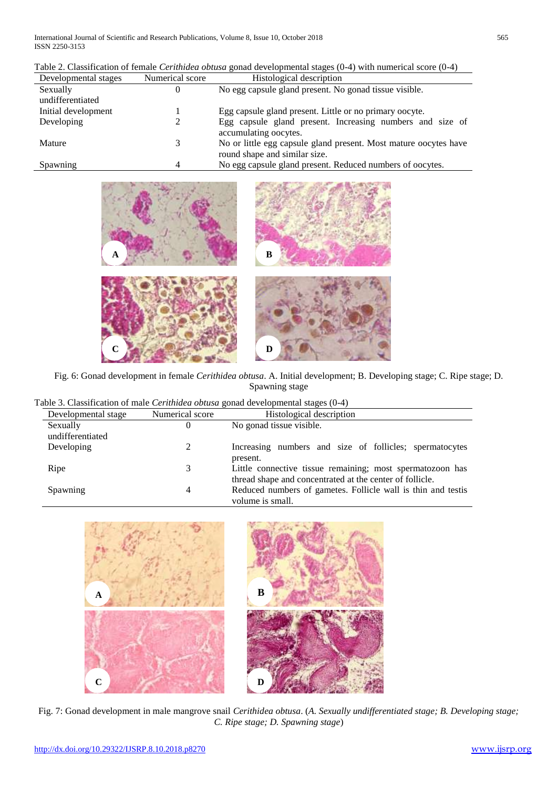| Developmental stages | Numerical score | Histological description                                                                          |
|----------------------|-----------------|---------------------------------------------------------------------------------------------------|
| Sexually             | O               | No egg capsule gland present. No gonad tissue visible.                                            |
| undifferentiated     |                 |                                                                                                   |
| Initial development  |                 | Egg capsule gland present. Little or no primary oocyte.                                           |
| Developing           |                 | Egg capsule gland present. Increasing numbers and size of<br>accumulating opeytes.                |
| Mature               | 3               | No or little egg capsule gland present. Most mature oocytes have<br>round shape and similar size. |
| Spawning             |                 | No egg capsule gland present. Reduced numbers of oocytes.                                         |

| Table 2. Classification of female <i>Cerithidea obtusa</i> gonad developmental stages $(0-4)$ with numerical score $(0-4)$ |
|----------------------------------------------------------------------------------------------------------------------------|
|----------------------------------------------------------------------------------------------------------------------------|







Fig. 6: Gonad development in female *Cerithidea obtusa*. A. Initial development; B. Developing stage; C. Ripe stage; D. Spawning stage

|  | Table 3. Classification of male Cerithidea obtusa gonad developmental stages (0-4) |  |  |  |  |  |
|--|------------------------------------------------------------------------------------|--|--|--|--|--|
|--|------------------------------------------------------------------------------------|--|--|--|--|--|

| Developmental stage | Numerical score | Histological description                                     |
|---------------------|-----------------|--------------------------------------------------------------|
| Sexually            | 0               | No gonad tissue visible.                                     |
| undifferentiated    |                 |                                                              |
| Developing          |                 | Increasing numbers and size of follicles; spermatocytes      |
|                     |                 | present.                                                     |
| Ripe                | 3               | Little connective tissue remaining; most spermatozoon has    |
|                     |                 | thread shape and concentrated at the center of follicle.     |
| Spawning            | 4               | Reduced numbers of gametes. Follicle wall is thin and testis |
|                     |                 | volume is small.                                             |



Fig. 7: Gonad development in male mangrove snail *Cerithidea obtusa*. (*A. Sexually undifferentiated stage; B. Developing stage; C. Ripe stage; D. Spawning stage*)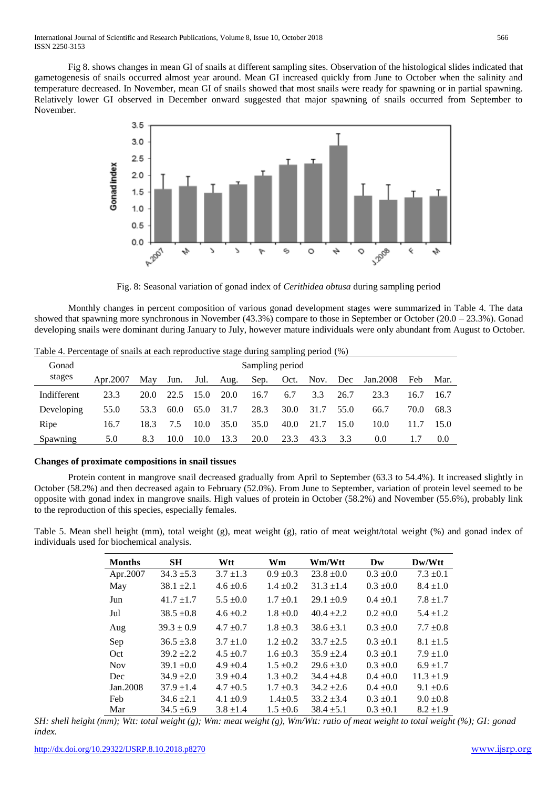International Journal of Scientific and Research Publications, Volume 8, Issue 10, October 2018 566 ISSN 2250-3153

Fig 8. shows changes in mean GI of snails at different sampling sites. Observation of the histological slides indicated that gametogenesis of snails occurred almost year around. Mean GI increased quickly from June to October when the salinity and temperature decreased. In November, mean GI of snails showed that most snails were ready for spawning or in partial spawning. Relatively lower GI observed in December onward suggested that major spawning of snails occurred from September to November.



Fig. 8: Seasonal variation of gonad index of *Cerithidea obtusa* during sampling period

Monthly changes in percent composition of various gonad development stages were summarized in Table 4. The data showed that spawning more synchronous in November (43.3%) compare to those in September or October (20.0 – 23.3%). Gonad developing snails were dominant during January to July, however mature individuals were only abundant from August to October.

| Gonad       | Sampling period |      |      |      |      |      |      |      |      |          |      |      |
|-------------|-----------------|------|------|------|------|------|------|------|------|----------|------|------|
| stages      | Apr.2007        | May  | Jun. | Jul. | Aug. | Sep. | Oct. | Nov. | Dec  | Jan.2008 | Feb  | Mar. |
| Indifferent | 23.3            | 20.0 | 22.5 | 15.0 | 20.0 | 16.7 | 6.7  | 3.3  | 26.7 | 23.3     | 16.7 | 16.7 |
| Developing  | 55.0            | 53.3 | 60.0 | 65.0 | 31.7 | 28.3 | 30.0 | 31.7 | 55.0 | 66.7     | 70.0 | 68.3 |
| Ripe        | 16.7            | 18.3 | 7.5  | 10.0 | 35.0 | 35.0 | 40.0 | 21.7 | 15.0 | 10.0     | 11.7 | 15.0 |
| Spawning    | 5.0             | 8.3  | 10.0 | 10.0 | 13.3 | 20.0 | 23.3 | 43.3 | 3.3  | 0.0      |      | 0.0  |

Table 4. Percentage of snails at each reproductive stage during sampling period (%)

#### **Changes of proximate compositions in snail tissues**

Protein content in mangrove snail decreased gradually from April to September (63.3 to 54.4%). It increased slightly in October (58.2%) and then decreased again to February (52.0%). From June to September, variation of protein level seemed to be opposite with gonad index in mangrove snails. High values of protein in October (58.2%) and November (55.6%), probably link to the reproduction of this species, especially females.

Table 5. Mean shell height (mm), total weight (g), meat weight (g), ratio of meat weight/total weight (%) and gonad index of individuals used for biochemical analysis.

| <b>Months</b> | <b>SH</b>      | Wtt           | Wm            | Wm/Wtt         | Dw            | Dw/Wtt         |
|---------------|----------------|---------------|---------------|----------------|---------------|----------------|
| Apr.2007      | $34.3 \pm 5.3$ | $3.7 \pm 1.3$ | $0.9 \pm 0.3$ | $23.8 \pm 0.0$ | $0.3 \pm 0.0$ | $7.3 \pm 0.1$  |
| May           | $38.1 \pm 2.1$ | $4.6 \pm 0.6$ | $1.4 \pm 0.2$ | $31.3 \pm 1.4$ | $0.3 \pm 0.0$ | $8.4 \pm 1.0$  |
| Jun           | $41.7 \pm 1.7$ | $5.5 \pm 0.0$ | $1.7 \pm 0.1$ | $29.1 \pm 0.9$ | $0.4 \pm 0.1$ | $7.8 \pm 1.7$  |
| Jul           | $38.5 \pm 0.8$ | $4.6 \pm 0.2$ | $1.8 \pm 0.0$ | $40.4 \pm 2.2$ | $0.2 \pm 0.0$ | $5.4 \pm 1.2$  |
| Aug           | $39.3 \pm 0.9$ | $4.7 \pm 0.7$ | $1.8 \pm 0.3$ | $38.6 \pm 3.1$ | $0.3 \pm 0.0$ | $7.7 \pm 0.8$  |
| Sep           | $36.5 \pm 3.8$ | $3.7 \pm 1.0$ | $1.2 \pm 0.2$ | $33.7 \pm 2.5$ | $0.3 \pm 0.1$ | $8.1 \pm 1.5$  |
| Oct           | $39.2 + 2.2$   | $4.5 \pm 0.7$ | $1.6 \pm 0.3$ | $35.9 + 2.4$   | $0.3 \pm 0.1$ | $7.9 \pm 1.0$  |
| <b>Nov</b>    | $39.1 \pm 0.0$ | $4.9 \pm 0.4$ | $1.5 \pm 0.2$ | $29.6 \pm 3.0$ | $0.3 \pm 0.0$ | $6.9 \pm 1.7$  |
| Dec           | $34.9 \pm 2.0$ | $3.9 \pm 0.4$ | $1.3 \pm 0.2$ | $34.4 + 4.8$   | $0.4 \pm 0.0$ | $11.3 \pm 1.9$ |
| Jan. 2008     | $37.9 \pm 1.4$ | $4.7 \pm 0.5$ | $1.7 \pm 0.3$ | $34.2 \pm 2.6$ | $0.4 \pm 0.0$ | $9.1 \pm 0.6$  |
| Feb           | $34.6 \pm 2.1$ | $4.1 \pm 0.9$ | $1.4 \pm 0.5$ | $33.2 + 3.4$   | $0.3 \pm 0.1$ | $9.0 \pm 0.8$  |
| Mar           | $34.5 + 6.9$   | $3.8 \pm 1.4$ | $1.5 \pm 0.6$ | $38.4 + 5.1$   | $0.3 \pm 0.1$ | $8.2 \pm 1.9$  |

*SH: shell height (mm); Wtt: total weight (g); Wm: meat weight (g), Wm/Wtt: ratio of meat weight to total weight (%); GI: gonad index.*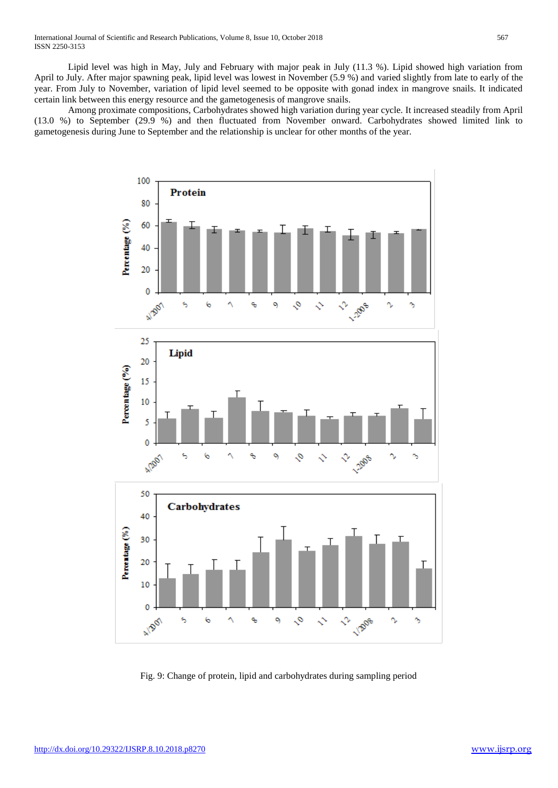Lipid level was high in May, July and February with major peak in July (11.3 %). Lipid showed high variation from April to July. After major spawning peak, lipid level was lowest in November (5.9 %) and varied slightly from late to early of the year. From July to November, variation of lipid level seemed to be opposite with gonad index in mangrove snails. It indicated certain link between this energy resource and the gametogenesis of mangrove snails.

Among proximate compositions, Carbohydrates showed high variation during year cycle. It increased steadily from April (13.0 %) to September (29.9 %) and then fluctuated from November onward. Carbohydrates showed limited link to gametogenesis during June to September and the relationship is unclear for other months of the year.



Fig. 9: Change of protein, lipid and carbohydrates during sampling period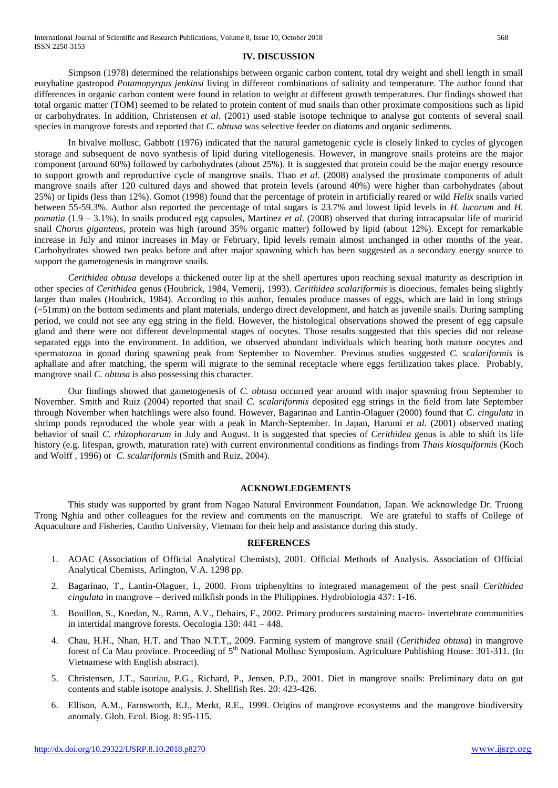#### **IV. DISCUSSION**

Simpson (1978) determined the relationships between organic carbon content, total dry weight and shell length in small euryhaline gastropod *Potamopyrgus jenkinsi* living in different combinations of salinity and temperature. The author found that differences in organic carbon content were found in relation to weight at different growth temperatures. Our findings showed that total organic matter (TOM) seemed to be related to protein content of mud snails than other proximate compositions such as lipid or carbohydrates. In addition, Christensen *et al*. (2001) used stable isotope technique to analyse gut contents of several snail species in mangrove forests and reported that *C. obtusa* was selective feeder on diatoms and organic sediments.

In bivalve mollusc, Gabbott (1976) indicated that the natural gametogenic cycle is closely linked to cycles of glycogen storage and subsequent de novo synthesis of lipid during vitellogenesis. However, in mangrove snails proteins are the major component (around 60%) followed by carbohydrates (about 25%). It is suggested that protein could be the major energy resource to support growth and reproductive cycle of mangrove snails. Thao *et al*. (2008) analysed the proximate components of adult mangrove snails after 120 cultured days and showed that protein levels (around 40%) were higher than carbohydrates (about 25%) or lipids (less than 12%). Gomot (1998) found that the percentage of protein in artificially reared or wild *Helix* snails varied between 55-59.3%. Author also reported the percentage of total sugars is 23.7% and lowest lipid levels in *H. lucorum* and *H. pomatia* (1.9 – 3.1%). In snails produced egg capsules, Martinez *et al*. (2008) observed that during intracapsular life of muricid snail *Chorus giganteus,* protein was high (around 35% organic matter) followed by lipid (about 12%). Except for remarkable increase in July and minor increases in May or February, lipid levels remain almost unchanged in other months of the year. Carbohydrates showed two peaks before and after major spawning which has been suggested as a secondary energy source to support the gametogenesis in mangrove snails.

*Cerithidea obtusa* develops a thickened outer lip at the shell apertures upon reaching sexual maturity as description in other species of *Cerithidea* genus (Houbrick, 1984, Vemerij, 1993). *Cerithidea scalariformis* is dioecious, females being slightly larger than males (Houbrick, 1984). According to this author, females produce masses of eggs, which are laid in long strings  $(-51$ mm) on the bottom sediments and plant materials, undergo direct development, and hatch as juvenile snails. During sampling period, we could not see any egg string in the field. However, the histological observations showed the present of egg capsule gland and there were not different developmental stages of oocytes. Those results suggested that this species did not release separated eggs into the environment. In addition, we observed abundant individuals which bearing both mature oocytes and spermatozoa in gonad during spawning peak from September to November. Previous studies suggested *C. scalariformis* is aphallate and after matching, the sperm will migrate to the seminal receptacle where eggs fertilization takes place. Probably, mangrove snail *C. obtusa* is also possessing this character.

Our findings showed that gametogenesis of *C. obtusa* occurred year around with major spawning from September to November. Smith and Ruiz (2004) reported that snail *C. scalariformis* deposited egg strings in the field from late September through November when hatchlings were also found. However, Bagarinao and Lantin-Olaguer (2000) found that *C. cingulata* in shrimp ponds reproduced the whole year with a peak in March-September. In Japan, Harumi *et al*. (2001) observed mating behavior of snail *C. rhizophorarum* in July and August. It is suggested that species of *Cerithidea* genus is able to shift its life history (e.g. lifespan, growth, maturation rate) with current environmental conditions as findings from *Thais kiosquiformis* (Koch and Wolff , 1996) or *C. scalariformis* (Smith and Ruiz, 2004).

#### **ACKNOWLEDGEMENTS**

This study was supported by grant from Nagao Natural Environment Foundation, Japan. We acknowledge Dr. Truong Trong Nghia and other colleagues for the review and comments on the manuscript. We are grateful to staffs of College of Aquaculture and Fisheries, Cantho University, Vietnam for their help and assistance during this study.

#### **REFERENCES**

- 1. AOAC (Association of Official Analytical Chemists), 2001. Official Methods of Analysis. Association of Official Analytical Chemists, Arlington, V.A. 1298 pp.
- 2. Bagarinao, T., Lantin-Olaguer, I., 2000. From triphenyltins to integrated management of the pest snail *Cerithidea cingulata* in mangrove – derived milkfish ponds in the Philippines. Hydrobiologia 437: 1-16.
- 3. Bouillon, S., Koedan, N., Ramn, A.V., Dehairs, F., 2002. Primary producers sustaining macro- invertebrate communities in intertidal mangrove forests. Oecologia 130: 441 – 448.
- 4. Chau, H.H., Nhan, H.T. and Thao N.T.T., 2009. Farming system of mangrove snail (*Cerithidea obtusa*) in mangrove forest of Ca Mau province. Proceeding of 5<sup>th</sup> National Mollusc Symposium. Agriculture Publishing House: 301-311. (In Vietnamese with English abstract).
- 5. Christensen, J.T., Sauriau, P.G., Richard, P., Jensen, P.D., 2001. Diet in mangrove snails: Preliminary data on gut contents and stable isotope analysis. J. Shellfish Res. 20: 423-426.
- 6. Ellison, A.M., Farnsworth, E.J., Merkt, R.E., 1999. Origins of mangrove ecosystems and the mangrove biodiversity anomaly. Glob. Ecol. Biog. 8: 95-115.